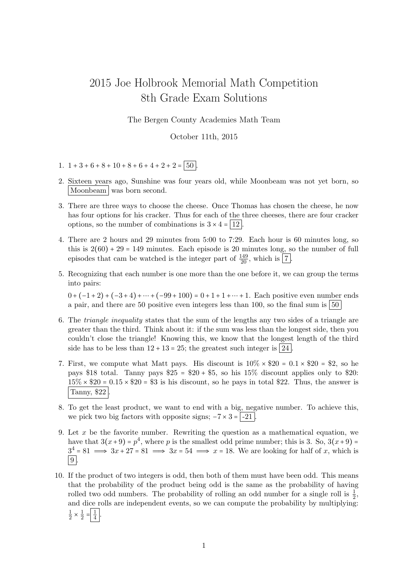## 2015 Joe Holbrook Memorial Math Competition 8th Grade Exam Solutions

The Bergen County Academies Math Team

October 11th, 2015

- 1.  $1+3+6+8+10+8+6+4+2+2 = 50$
- 2. Sixteen years ago, Sunshine was four years old, while Moonbeam was not yet born, so Moonbeam was born second.
- 3. There are three ways to choose the cheese. Once Thomas has chosen the cheese, he now has four options for his cracker. Thus for each of the three cheeses, there are four cracker options, so the number of combinations is  $3 \times 4 = |12|$ .
- 4. There are 2 hours and 29 minutes from 5:00 to 7:29. Each hour is 60 minutes long, so this is  $2(60) + 29 = 149$  minutes. Each episode is 20 minutes long, so the number of full episodes that cam be watched is the integer part of  $\frac{149}{20}$ , which is  $\boxed{7}$ .
- 5. Recognizing that each number is one more than the one before it, we can group the terms into pairs:

 $0 + (-1 + 2) + (-3 + 4) + \cdots + (-99 + 100) = 0 + 1 + 1 + \cdots + 1$ . Each positive even number ends a pair, and there are 50 positive even integers less than 100, so the final sum is  $\vert 50 \rangle$ 

- 6. The triangle inequality states that the sum of the lengths any two sides of a triangle are greater than the third. Think about it: if the sum was less than the longest side, then you couldn't close the triangle! Knowing this, we know that the longest length of the third side has to be less than  $12 + 13 = 25$ ; the greatest such integer is 24.
- 7. First, we compute what Matt pays. His discount is  $10\% \times $20 = 0.1 \times $20 = $2$ , so he pays \$18 total. Tanny pays  $$25 = $20 + $5$ , so his  $15\%$  discount applies only to \$20:  $15\% \times $20 = 0.15 \times $20 = $3$  is his discount, so he pays in total \$22. Thus, the answer is Tanny, \$22 .
- 8. To get the least product, we want to end with a big, negative number. To achieve this, we pick two big factors with opposite signs;  $-7 \times 3 = -21$ .
- 9. Let  $x$  be the favorite number. Rewriting the question as a mathematical equation, we have that  $3(x+9) = p<sup>4</sup>$ , where p is the smallest odd prime number; this is 3. So,  $3(x+9) =$  $3^4 = 81 \implies 3x + 27 = 81 \implies 3x = 54 \implies x = 18$ . We are looking for half of x, which is  $|9|$ .
- 10. If the product of two integers is odd, then both of them must have been odd. This means that the probability of the product being odd is the same as the probability of having rolled two odd numbers. The probability of rolling an odd number for a single roll is  $\frac{1}{2}$ , and dice rolls are independent events, so we can compute the probability by multiplying: 1  $\frac{1}{2} \times \frac{1}{2}$  $\frac{1}{2} = \frac{1}{4}$  $\frac{1}{4}$ .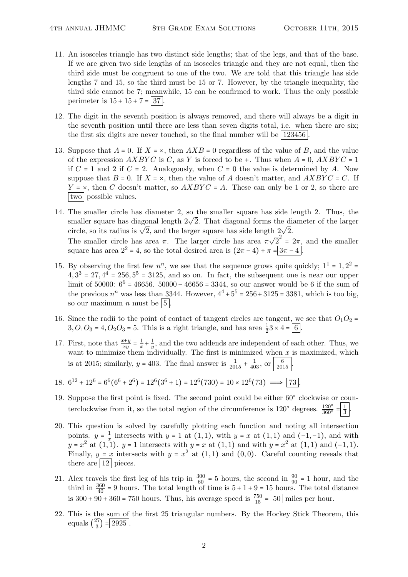- 11. An isosceles triangle has two distinct side lengths; that of the legs, and that of the base. If we are given two side lengths of an isosceles triangle and they are not equal, then the third side must be congruent to one of the two. We are told that this triangle has side lengths 7 and 15, so the third must be 15 or 7. However, by the triangle inequality, the third side cannot be 7; meanwhile, 15 can be confirmed to work. Thus the only possible perimeter is  $15 + 15 + 7 = 37$ .
- 12. The digit in the seventh position is always removed, and there will always be a digit in the seventh position until there are less than seven digits total, i.e. when there are six; the first six digits are never touched, so the final number will be  $123456$ .
- 13. Suppose that  $A = 0$ . If  $X = \times$ , then  $AXB = 0$  regardless of the value of B, and the value of the expression  $AXBYC$  is C, as Y is forced to be +. Thus when  $A = 0$ ,  $AXBYC = 1$ if  $C = 1$  and 2 if  $C = 2$ . Analogously, when  $C = 0$  the value is determined by A. Now suppose that  $B = 0$ . If  $X = \times$ , then the value of A doesn't matter, and  $AXBYC = C$ . If  $Y = \times$ , then C doesn't matter, so  $AXBYC = A$ . These can only be 1 or 2, so there are two possible values.
- 14. The smaller circle has diameter 2, so the smaller square has side length 2. Thus, the The smaller circle has diameter 2, so the smaller square has side length 2. Thus, the smaller square has diagonal length  $2\sqrt{2}$ . That diagonal forms the diameter of the larger smaner square has diagonal length  $2\nabla 2$ . That diagonal forms the di-<br>circle, so its radius is  $\sqrt{2}$ , and the larger square has side length  $2\sqrt{2}$ . The smaller circle has area  $\pi$ . The larger circle has area  $\pi$ √  $\overline{2}^2 = 2\pi$ , and the smaller square has area  $2^2 = 4$ , so the total desired area is  $(2\pi - 4) + \pi = 3\pi - 4$ .
- 15. By observing the first few  $n^n$ , we see that the sequence grows quite quickly;  $1^1 = 1, 2^2 =$  $4, 3<sup>3</sup> = 27, 4<sup>4</sup> = 256, 5<sup>5</sup> = 3125,$  and so on. In fact, the subsequent one is near our upper limit of 50000:  $6^6 = 46656$ . 50000 – 46656 = 3344, so our answer would be 6 if the sum of the previous  $n^n$  was less than 3344. However,  $4^4 + 5^5 = 256 + 3125 = 3381$ , which is too big, so our maximum *n* must be  $\boxed{5}$ .
- 16. Since the radii to the point of contact of tangent circles are tangent, we see that  $O_1O_2$  =  $3, O_1O_3 = 4, O_2O_3 = 5$ . This is a right triangle, and has area  $\frac{1}{2}3 \times 4 = 6$ .
- 17. First, note that  $\frac{x+y}{xy} = \frac{1}{x}$  $rac{1}{x} + \frac{1}{y}$  $\frac{1}{y}$ , and the two addends are independent of each other. Thus, we want to minimize them individually. The first is minimized when  $x$  is maximized, which is at 2015; similarly,  $y = 403$ . The final answer is  $\frac{1}{2015} + \frac{1}{403}$ , or  $\frac{6}{2015}$ .
- 18.  $6^{12} + 12^6 = 6^6(6^6 + 2^6) = 12^6(3^6 + 1) = 12^6(730) = 10 \times 12^6(73) \implies \boxed{73}$ .
- 19. Suppose the first point is fixed. The second point could be either  $60^{\circ}$  clockwise or counterclockwise from it, so the total region of the circumference is  $120^{\circ}$  degrees.  $\frac{120^{\circ}}{360^{\circ}} = \frac{1}{3}$  $rac{1}{3}$ .
- 20. This question is solved by carefully plotting each function and noting all intersection points.  $y = \frac{1}{x}$  $\frac{1}{x}$  intersects with y = 1 at (1, 1), with y = x at (1, 1) and (-1, -1), and with  $y = x^2$  at  $(1, 1)$ .  $y = 1$  intersects with  $y = x$  at  $(1, 1)$  and with  $y = x^2$  at  $(1, 1)$  and  $(-1, 1)$ . Finally,  $y = x$  intersects with  $y = x^2$  at  $(1,1)$  and  $(0,0)$ . Careful counting reveals that there are  $\boxed{12}$  pieces.
- 21. Alex travels the first leg of his trip in  $\frac{300}{60} = 5$  hours, the second in  $\frac{90}{90} = 1$  hour, and the third in  $\frac{360}{40}$  = 9 hours. The total length of time is  $5 + 1 + 9 = 15$  hours. The total distance is  $300 + 90 + 360 = 750$  hours. Thus, his average speed is  $\frac{750}{15} = 50$  miles per hour.
- 22. This is the sum of the first 25 triangular numbers. By the Hockey Stick Theorem, this equals  $\binom{27}{3}$  $\binom{27}{3} = 2925$ .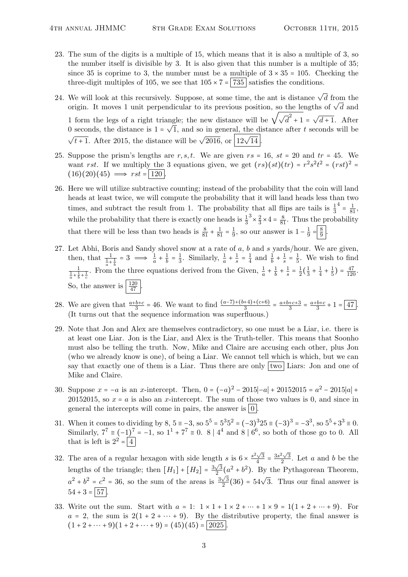- 23. The sum of the digits is a multiple of 15, which means that it is also a multiple of 3, so the number itself is divisible by 3. It is also given that this number is a multiple of 35; since 35 is coprime to 3, the number must be a multiple of  $3 \times 35 = 105$ . Checking the three-digit multiples of 105, we see that  $105 \times 7 = |735|$  satisfies the conditions.
- 24. We will look at this recursively. Suppose, at some time, the ant is distance  $\sqrt{d}$  from the we will look at this recursively. Suppose, at some time, the ant is distance  $\sqrt{a}$  from the origin. It moves 1 unit perpendicular to its previous position, so the lengths of  $\sqrt{d}$  and origin. It moves 1 until perpendicular to its previous position, so the length origin. It moves 1 until perpendicular to its previous position, so the length √ angle; the new distance will be  $\sqrt{\sqrt{d}} + 1 = \sqrt{d} + 1$ . After 0 seconds, the distance is  $1 = \sqrt{1}$ , and so in general, the distance after t seconds will be  $\sqrt{t+1}$ . After 2015, the distance will be  $\sqrt{2016}$ , or  $\sqrt{12\sqrt{14}}$ .
- 25. Suppose the prism's lengths are r, s, t. We are given  $rs = 16$ ,  $st = 20$  and  $tr = 45$ . We want rst. If we multiply the 3 equations given, we get  $(rs)(st)(tr) = r^2s^2t^2 = (rst)^2 =$  $(16)(20)(45) \implies rst = |120|$
- 26. Here we will utilize subtractive counting; instead of the probability that the coin will land heads at least twice, we will compute the probability that it will land heads less than two times, and subtract the result from 1. The probability that all flips are tails is  $\frac{1}{3}$  $4 = \frac{1}{81}$ while the probability that there is exactly one heads is  $\frac{1}{3}$  $3 \times \frac{2}{3}$  $\frac{2}{3} \times 4 = \frac{8}{81}$ . Thus the probability that there will be less than two heads is  $\frac{8}{81} + \frac{1}{81} = \frac{1}{9}$  $\frac{1}{9}$ , so our answer is  $1 - \frac{1}{9}$  $rac{1}{9} = \frac{8}{9}$  $rac{8}{9}$ .
- 27. Let Abhi, Boris and Sandy shovel snow at a rate of  $a$ ,  $b$  and  $s$  yards/hour. We are given, then, that  $\frac{1}{\frac{1}{a} + \frac{1}{b}} = 3 \implies \frac{1}{a} + \frac{1}{b}$  $\frac{1}{b} = \frac{1}{3}$  $\frac{1}{3}$ . Similarly,  $\frac{1}{a} + \frac{1}{s}$  $\frac{1}{s} = \frac{1}{4}$  $rac{1}{4}$  and  $rac{1}{b} + \frac{1}{s}$  $\frac{1}{s} = \frac{1}{5}$  $\frac{1}{5}$ . We wish to find  $\frac{1}{\frac{1}{a} + \frac{1}{b} + \frac{1}{c}}$ . From the three equations derived from the Given,  $\frac{1}{a} + \frac{1}{b}$  $\frac{1}{b} + \frac{1}{s}$  $\frac{1}{s} = \frac{1}{2}$  $\frac{1}{2}(\frac{1}{3})$  $rac{1}{3} + \frac{1}{4}$  $\frac{1}{4} + \frac{1}{5}$  $\frac{1}{5}$ ) =  $\frac{47}{120}$ . So, the answer is  $\frac{120}{47}$ .
- 28. We are given that  $\frac{a+b+c}{3} = 46$ . We want to find  $\frac{(a-7)+(b+4)+(c+6)}{3} = \frac{a+b+c+3}{3}$  $\frac{+c+3}{3} = \frac{a+b+c}{3}$  $\frac{b+c}{3}+1=\boxed{47}$ . (It turns out that the sequence information was superfluous.)
- 29. Note that Jon and Alex are themselves contradictory, so one must be a Liar, i.e. there is at least one Liar. Jon is the Liar, and Alex is the Truth-teller. This means that Soonho must also be telling the truth. Now, Mike and Claire are accusing each other, plus Jon (who we already know is one), of being a Liar. We cannot tell which is which, but we can say that exactly one of them is a Liar. Thus there are only two Liars: Jon and one of Mike and Claire.
- 30. Suppose  $x = -a$  is an x-intercept. Then,  $0 = (-a)^2 2015|-a| + 20152015 = a^2 2015|a| +$ 20152015, so  $x = a$  is also an x-intercept. The sum of those two values is 0, and since in general the intercepts will come in pairs, the answer is  $\vert 0 \vert$ .
- 31. When it comes to dividing by  $8, 5 = -3$ , so  $5^5 = 5^3 5^2 = (-3)^3 25 \equiv (-3)^3 = -3^3$ , so  $5^5 + 3^3 = 0$ . Similarly,  $7^7 \equiv (-1)^7 = -1$ , so  $1^1 + 7^7 \equiv 0$ . 8 |  $4^4$  and 8 |  $6^6$ , so both of those go to 0. All that is left is  $2^2 = \boxed{4}$
- 32. The area of a regular hexagon with side length s is  $6 \times \frac{s^2 \sqrt{3}}{4}$  $\frac{\sqrt{3}}{4} = \frac{3s^2\sqrt{3}}{2}$ th s is  $6 \times \frac{s^2 \sqrt{3}}{4} = \frac{3s^2 \sqrt{3}}{2}$ . Let a and b be the lengths of the triangle; then  $[H_1] + [H_2] = \frac{3\sqrt{3}}{2}$  $\frac{\sqrt{3}}{2}(a^2 + b^2)$ . By the Pythagorean Theorem,  $a^2 + b^2 = c^2 = 36$ , so the sum of the areas is  $\frac{3\sqrt{3}}{2}$  $\frac{\sqrt{3}}{2}(36) = 54\sqrt{3}$ . Thus our final answer is  $54 + 3 = 57$ .
- 33. Write out the sum. Start with  $a = 1: 1 \times 1 + 1 \times 2 + \cdots + 1 \times 9 = 1(1 + 2 + \cdots + 9)$ . For  $a = 2$ , the sum is  $2(1 + 2 + \cdots + 9)$ . By the distributive property, the final answer is  $(1 + 2 + \cdots + 9)(1 + 2 + \cdots + 9) = (45)(45) = |2025|$ .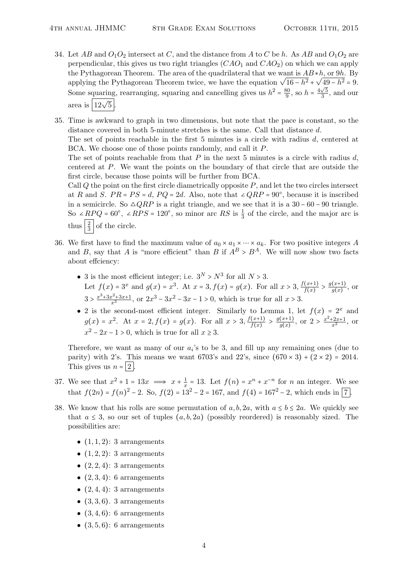- 34. Let AB and  $O_1O_2$  intersect at C, and the distance from A to C be h. As AB and  $O_1O_2$  are perpendicular, this gives us two right triangles  $(CAO<sub>1</sub>$  and  $CAO<sub>2</sub>)$  on which we can apply the Pythagorean Theorem. The area of the quadrilateral that we want is  $AB * h$ , or 9h. By the Pythagorean Theorem. The area of the quadrilateral that we want is  $AB * n$ , or  $9n$ . By<br>applying the Pythagorean Theorem twice, we have the equation  $\sqrt{16-h^2} + \sqrt{49-h^2} = 9$ . Some squaring, rearranging, squaring and cancelling gives us  $h^2 = \frac{80}{9}$  $\frac{30}{9}$ , so  $h = \frac{4\sqrt{5}}{3}$  $\frac{\sqrt{5}}{3}$ , and our area is  $\boxed{12\sqrt{5}}$ .
- 35. Time is awkward to graph in two dimensions, but note that the pace is constant, so the distance covered in both 5-minute stretches is the same. Call that distance d.

The set of points reachable in the first 5 minutes is a circle with radius d, centered at BCA. We choose one of those points randomly, and call it P.

The set of points reachable from that  $P$  in the next 5 minutes is a circle with radius  $d$ , centered at P. We want the points on the boundary of that circle that are outside the first circle, because those points will be further from BCA.

Call  $Q$  the point on the first circle diametrically opposite  $P$ , and let the two circles intersect at R and S.  $PR = PS = d$ ,  $PQ = 2d$ . Also, note that ∠ $QRP = 90^{\circ}$ , because it is inscribed in a semicircle. So  $\triangle QRP$  is a right triangle, and we see that it is a 30 – 60 – 90 triangle. So ∠ $R P Q = 60^{\circ}$ , ∠ $R PS = 120^{\circ}$ , so minor arc RS is  $\frac{1}{3}$  of the circle, and the major arc is thus  $\frac{2}{3}$  of the circle.

- 36. We first have to find the maximum value of  $a_0 \times a_1 \times \cdots \times a_k$ . For two positive integers A and B, say that A is "more efficient" than B if  $A^B > B^A$ . We will now show two facts about effciency:
	- 3 is the most efficient integer; i.e.  $3^N > N^3$  for all  $N > 3$ . Let  $f(x) = 3^x$  and  $g(x) = x^3$ . At  $x = 3$ ,  $f(x) = g(x)$ . For all  $x > 3$ ,  $\frac{f(x+1)}{f(x)}$  $\frac{f(x+1)}{f(x)} > \frac{g(x+1)}{g(x)}$  $\frac{(x+1)}{g(x)}$ , or  $3 > \frac{x^3 + 3x^2 + 3x + 1}{x^3}$ , or  $2x^3 - 3x^2 - 3x - 1 > 0$ , which is true for all  $x > 3$ .
	- 2 is the second-most efficient integer. Similarly to Lemma 1, let  $f(x) = 2^x$  and  $g(x) = x^2$ . At  $x = 2, f(x) = g(x)$ . For all  $x > 3, \frac{f(x+1)}{f(x)}$  $\frac{f(x+1)}{f(x)} > \frac{g(x+1)}{g(x)}$  $\frac{(x+1)}{g(x)}$ , or  $2 > \frac{x^2+2x+1}{x^2}$ , or  $x^2 - 2x - 1 > 0$ , which is true for all  $x \ge 3$ .

Therefore, we want as many of our  $a_i$ 's to be 3, and fill up any remaining ones (due to parity) with 2's. This means we want 6703's and 22's, since  $(670 \times 3) + (2 \times 2) = 2014$ . This gives us  $n = 2$ .

- 37. We see that  $x^2 + 1 = 13x \implies x + \frac{1}{x}$  $\frac{1}{x}$  = 13. Let  $f(n) = x^n + x^{-n}$  for *n* an integer. We see that  $f(2n) = f(n)^2 - 2$ . So,  $f(2) = 13^2 - 2 = 167$ , and  $f(4) = 167^2 - 2$ , which ends in  $\boxed{7}$ .
- 38. We know that his rolls are some permutation of a, b, 2a, with  $a \le b \le 2a$ . We quickly see that  $a \leq 3$ , so our set of tuples  $(a, b, 2a)$  (possibly reordered) is reasonably sized. The possibilities are:
	- $(1, 1, 2)$ : 3 arrangements
	- $(1, 2, 2)$ : 3 arrangements
	- $(2, 2, 4)$ : 3 arrangements
	- $(2,3,4)$ : 6 arrangements
	- $(2, 4, 4)$ : 3 arrangements
	- $(3, 3, 6)$ . 3 arrangements
	- $(3, 4, 6)$ : 6 arrangements
	- $(3,5,6)$ : 6 arrangements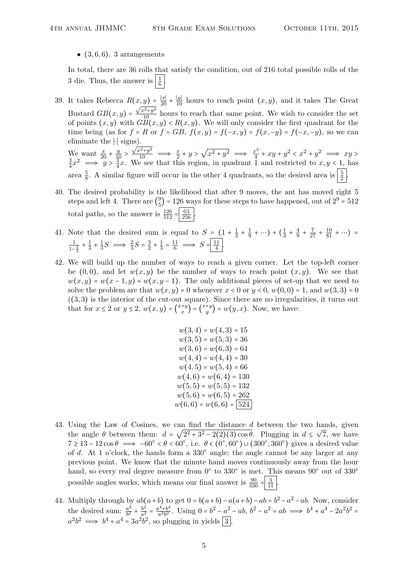•  $(3, 6, 6)$ . 3 arrangements

In total, there are 36 rolls that satisfy the condition, out of 216 total possible rolls of the 3 die. Thus, the answer is  $\left|\frac{1}{6}\right|$ .

- 39. It takes Rebecca  $R(x,y) = \frac{|x|}{20} + \frac{|y|}{10}$  hours to reach point  $(x, y)$ , and it takes The Great Bustard  $GB(x,y) = \frac{\sqrt{x^2+y^2}}{10}$  hours to reach that same point. We wish to consider the set of points  $(x, y)$  with  $\overrightarrow{GB}(x, y) < R(x, y)$ . We will only consider the first quadrant for the time being (as for  $f = R$  or  $f = GB$ ,  $f(x, y) = f(-x, y) = f(-x, -y)$ , so we can eliminate the ∣⋅∣ signs). We want  $\frac{x}{20} + \frac{y}{10}$  $\frac{\sqrt{x^2+y^2}}{10} \implies \frac{x}{2} + y >$ √  $\sqrt{x^2+y^2} \implies \frac{x^2}{4}$  $\frac{x^2}{4} + xy + y^2 < x^2 + y^2 \implies xy >$ 3  $rac{3}{4}x^2 \implies y > \frac{3}{4}$  $\frac{3}{4}x$ . We see that this region, in quadrant 1 and restricted to  $x, y \leq 1$ , has area  $\frac{5}{8}$ . A similar figure will occur in the other 4 quadrants, so the desired area is  $\left|\frac{5}{2}\right|$ .
- 40. The desired probability is the likelihood that after 9 moves, the ant has moved right 5 steps and left 4. There are  $\binom{9}{5}$  $\binom{9}{5}$  = 126 ways for these steps to have happened, out of  $2^9$  = 512 total paths, so the answer is  $\frac{126}{512} = \frac{63}{256}$ .
- 41. Note that the desired sum is equal to  $S = (1 + \frac{1}{3})$  $rac{1}{3} + \frac{1}{9}$  $(\frac{1}{9} + \cdots) + (\frac{1}{3})$  $rac{1}{3} + \frac{4}{9}$  $\frac{4}{9} + \frac{7}{27} + \frac{10}{81} + \cdots$  = 1  $\frac{1}{1-\frac{1}{3}}+\frac{1}{3}$  $\frac{1}{3} + \frac{1}{3}$  $\frac{1}{3}S \implies \frac{2}{3}S = \frac{3}{2}$  $\frac{3}{2} + \frac{1}{3}$  $rac{1}{3} = \frac{11}{6} \implies S = \frac{11}{4}$  $\frac{11}{4}$ .
- 42. We will build up the number of ways to reach a given corner. Let the top-left corner be  $(0,0)$ , and let  $w(x, y)$  be the number of ways to reach point  $(x, y)$ . We see that  $w(x, y) = w(x - 1, y) + w(x, y - 1)$ . The only additional pieces of set-up that we need to solve the problem are that  $w(x, y) = 0$  whenever  $x < 0$  or  $y < 0$ ,  $w(0, 0) = 1$ , and  $w(3, 3) = 0$  $((3, 3)$  is the interior of the cut-out square). Since there are no irregularities, it turns out that for  $x \leq 2$  or  $y \leq 2$ ,  $w(x, y) = \binom{x+y}{x}$  $\begin{pmatrix} +y \\ x \end{pmatrix} = \begin{pmatrix} x+y \\ y \end{pmatrix}$  $y^{+y}$  =  $w(y, x)$ . Now, we have:

 $w(3, 4) = w(4, 3) = 15$  $w(3, 5) = w(5, 3) = 36$  $w(3,6) = w(6,3) = 64$  $w(4, 4) = w(4, 4) = 30$  $w(4, 5) = w(5, 4) = 66$  $w(4,6) = w(6,4) = 130$  $w(5, 5) = w(5, 5) = 132$  $w(5,6) = w(6,5) = 262$  $w(6, 6) = w(6, 6) = 524$ 

- 43. Using the Law of Cosines, we can find the distance d between the two hands, given the angle  $\theta$  between them:  $d = \sqrt{2^2 + 3^2 - 2(2)(3)\cos\theta}$ . Plugging in  $d \le \sqrt{2^2 + 3^2 - 2(2)(3)\cos\theta}$ 7, we have  $7 \geq 13 - 12 \cos \theta \implies -60^{\circ} < \theta < 60^{\circ}$ , i.e.  $\theta \in (0^{\circ}, 60^{\circ}) \cup (300^{\circ}, 360^{\circ})$  gives a desired value of d. At 1 o'clock, the hands form a  $330^{\circ}$  angle; the angle cannot be any larger at any previous point. We know that the minute hand moves continuously away from the hour hand, so every real degree measure from  $0^{\circ}$  to  $330^{\circ}$  is met. This means  $90^{\circ}$  out of  $330^{\circ}$ possible angles works, which means our final answer is  $\frac{90}{330} = \frac{3}{11}$ .
- 44. Multiply through by  $ab(a+b)$  to get  $0 = b(a+b) a(a+b) ab = b^2 a^2 ab$ . Now, consider the desired sum:  $\frac{a^2}{b^2}$  $\frac{a^2}{b^2} + \frac{b^2}{a^2}$  $rac{b^2}{a^2} = \frac{a^4 + b^4}{a^2b^2}$  $a^4 + b^4$ . Using  $0 = b^2 - a^2 - ab$ ,  $b^2 - a^2 = ab \implies b^4 + a^4 - 2a^2b^2 =$  $a^2b^2 \implies b^4 + a^4 = 3a^2b^2$ , so plugging in yields  $\boxed{3}$ .